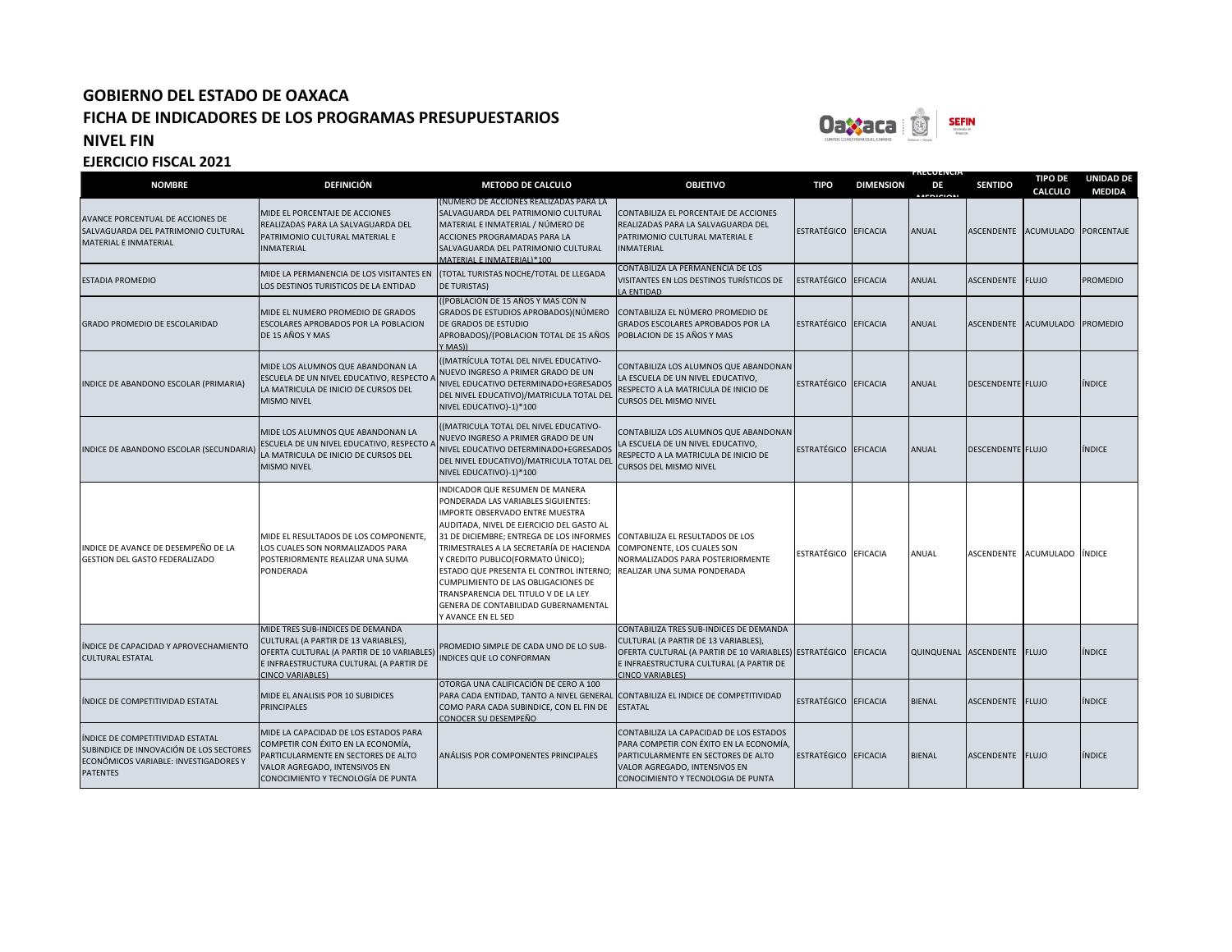

**FRECUENCIA** 

| <b>NOMBRE</b>                                                                                                                           | <b>DEFINICIÓN</b>                                                                                                                                                                            | <b>METODO DE CALCULO</b>                                                                                                                                                                                                                                                                                                                                                                                                                                                    | <b>OBJETIVO</b>                                                                                                                                                                                                          | <b>TIPO</b>          | <b>DIMENSION</b> | DE<br><b>MEDICION</b> | <b>SENTIDO</b>           | <b>TIPO DE</b><br><b>CALCULO</b> | <b>UNIDAD DE</b><br><b>MEDIDA</b> |
|-----------------------------------------------------------------------------------------------------------------------------------------|----------------------------------------------------------------------------------------------------------------------------------------------------------------------------------------------|-----------------------------------------------------------------------------------------------------------------------------------------------------------------------------------------------------------------------------------------------------------------------------------------------------------------------------------------------------------------------------------------------------------------------------------------------------------------------------|--------------------------------------------------------------------------------------------------------------------------------------------------------------------------------------------------------------------------|----------------------|------------------|-----------------------|--------------------------|----------------------------------|-----------------------------------|
| AVANCE PORCENTUAL DE ACCIONES DE<br>SALVAGUARDA DEL PATRIMONIO CULTURAL<br>MATERIAL E INMATERIAL                                        | MIDE EL PORCENTAJE DE ACCIONES<br>REALIZADAS PARA LA SALVAGUARDA DEL<br>PATRIMONIO CULTURAL MATERIAL E<br><b>NMATERIAL</b>                                                                   | (NÚMERO DE ACCIONES REALIZADAS PARA LA<br>SALVAGUARDA DEL PATRIMONIO CULTURAL<br>MATERIAL E INMATERIAL / NÚMERO DE<br>ACCIONES PROGRAMADAS PARA LA<br>SALVAGUARDA DEL PATRIMONIO CULTURAL<br>MATERIAL E INMATERIAL)*100                                                                                                                                                                                                                                                     | CONTABILIZA EL PORCENTAJE DE ACCIONES<br>REALIZADAS PARA LA SALVAGUARDA DEL<br>PATRIMONIO CULTURAL MATERIAL E<br><b>INMATERIAL</b>                                                                                       | ESTRATÉGICO EFICACIA |                  | <b>ANUAL</b>          | <b>ASCENDENTE</b>        | ACUMULADO PORCENTAJE             |                                   |
| <b>ESTADIA PROMEDIO</b>                                                                                                                 | MIDE LA PERMANENCIA DE LOS VISITANTES EN<br>LOS DESTINOS TURISTICOS DE LA ENTIDAD                                                                                                            | (TOTAL TURISTAS NOCHE/TOTAL DE LLEGADA<br><b>DE TURISTAS)</b>                                                                                                                                                                                                                                                                                                                                                                                                               | CONTABILIZA LA PERMANENCIA DE LOS<br>VISITANTES EN LOS DESTINOS TURÍSTICOS DE<br>LA ENTIDAD                                                                                                                              | ESTRATÉGICO EFICACIA |                  | <b>ANUAL</b>          | <b>ASCENDENTE</b>        | <b>FLUJO</b>                     | <b>PROMEDIO</b>                   |
| GRADO PROMEDIO DE ESCOLARIDAD                                                                                                           | MIDE EL NUMERO PROMEDIO DE GRADOS<br>ESCOLARES APROBADOS POR LA POBLACION<br>DE 15 AÑOS Y MAS                                                                                                | ((POBLACIÓN DE 15 AÑOS Y MAS CON N<br>GRADOS DE ESTUDIOS APROBADOS) (NÚMERO<br>DE GRADOS DE ESTUDIO<br>APROBADOS)/(POBLACION TOTAL DE 15 AÑOS<br>Y MASI)                                                                                                                                                                                                                                                                                                                    | CONTABILIZA EL NÚMERO PROMEDIO DE<br><b>GRADOS ESCOLARES APROBADOS POR LA</b><br>POBLACION DE 15 AÑOS Y MAS                                                                                                              | ESTRATÉGICO EFICACIA |                  | ANUAL                 | <b>ASCENDENTE</b>        | ACUMULADO PROMEDIO               |                                   |
| INDICE DE ABANDONO ESCOLAR (PRIMARIA)                                                                                                   | MIDE LOS ALUMNOS QUE ABANDONAN LA<br>ESCUELA DE UN NIVEL EDUCATIVO, RESPECTO A<br>LA MATRICULA DE INICIO DE CURSOS DEL<br><b>MISMO NIVEL</b>                                                 | ((MATRÍCULA TOTAL DEL NIVEL EDUCATIVO-<br>NUEVO INGRESO A PRIMER GRADO DE UN<br>NIVEL EDUCATIVO DETERMINADO+EGRESADOS<br>DEL NIVEL EDUCATIVO)/MATRICULA TOTAL DEL<br>NIVEL EDUCATIVO)-1)*100                                                                                                                                                                                                                                                                                | CONTABILIZA LOS ALUMNOS QUE ABANDONAN<br>LA ESCUELA DE UN NIVEL EDUCATIVO,<br>RESPECTO A LA MATRICULA DE INICIO DE<br><b>CURSOS DEL MISMO NIVEL</b>                                                                      | ESTRATÉGICO EFICACIA |                  | ANUAL                 | DESCENDENTE FLUJO        |                                  | <b>ÍNDICE</b>                     |
| INDICE DE ABANDONO ESCOLAR (SECUNDARIA)                                                                                                 | MIDE LOS ALUMNOS QUE ABANDONAN LA<br>ESCUELA DE UN NIVEL EDUCATIVO, RESPECTO A<br>LA MATRICULA DE INICIO DE CURSOS DEL<br><b>MISMO NIVEL</b>                                                 | ((MATRICULA TOTAL DEL NIVEL EDUCATIVO-<br>NUEVO INGRESO A PRIMER GRADO DE UN<br>NIVEL EDUCATIVO DETERMINADO+EGRESADOS<br>DEL NIVEL EDUCATIVO)/MATRICULA TOTAL DEL<br>NIVEL EDUCATIVO)-1)*100                                                                                                                                                                                                                                                                                | CONTABILIZA LOS ALUMNOS QUE ABANDONAN<br>LA ESCUELA DE UN NIVEL EDUCATIVO,<br>RESPECTO A LA MATRICULA DE INICIO DE<br><b>CURSOS DEL MISMO NIVEL</b>                                                                      | ESTRATÉGICO EFICACIA |                  | ANUAL                 | <b>DESCENDENTE FLUJO</b> |                                  | <b>ÍNDICE</b>                     |
| INDICE DE AVANCE DE DESEMPEÑO DE LA<br><b>GESTION DEL GASTO FEDERALIZADO</b>                                                            | MIDE EL RESULTADOS DE LOS COMPONENTE,<br>LOS CUALES SON NORMALIZADOS PARA<br>POSTERIORMENTE REALIZAR UNA SUMA<br>PONDERADA                                                                   | INDICADOR QUE RESUMEN DE MANERA<br>PONDERADA LAS VARIABLES SIGUIENTES:<br>IMPORTE OBSERVADO ENTRE MUESTRA<br>AUDITADA, NIVEL DE EJERCICIO DEL GASTO AL<br>31 DE DICIEMBRE; ENTREGA DE LOS INFORMES<br>TRIMESTRALES A LA SECRETARÍA DE HACIENDA<br>Y CREDITO PUBLICO(FORMATO ÚNICO);<br>ESTADO QUE PRESENTA EL CONTROL INTERNO;<br>CUMPLIMIENTO DE LAS OBLIGACIONES DE<br>TRANSPARENCIA DEL TITULO V DE LA LEY<br>GENERA DE CONTABILIDAD GUBERNAMENTAL<br>Y AVANCE EN EL SED | CONTABILIZA EL RESULTADOS DE LOS<br>COMPONENTE, LOS CUALES SON<br>NORMALIZADOS PARA POSTERIORMENTE<br>REALIZAR UNA SUMA PONDERADA                                                                                        | ESTRATÉGICO EFICACIA |                  | ANUAL                 | ASCENDENTE               | ACUMULADO ÍNDICE                 |                                   |
| ÍNDICE DE CAPACIDAD Y APROVECHAMIENTO<br><b>CULTURAL ESTATAL</b>                                                                        | MIDE TRES SUB-INDICES DE DEMANDA<br>CULTURAL (A PARTIR DE 13 VARIABLES),<br>OFERTA CULTURAL (A PARTIR DE 10 VARIABLES)<br>E INFRAESTRUCTURA CULTURAL (A PARTIR DE<br><b>CINCO VARIABLES)</b> | PROMEDIO SIMPLE DE CADA UNO DE LO SUB-<br>INDICES QUE LO CONFORMAN                                                                                                                                                                                                                                                                                                                                                                                                          | CONTABILIZA TRES SUB-INDICES DE DEMANDA<br>CULTURAL (A PARTIR DE 13 VARIABLES),<br>OFERTA CULTURAL (A PARTIR DE 10 VARIABLES) ESTRATÉGICO EFICACIA<br>E INFRAESTRUCTURA CULTURAL (A PARTIR DE<br><b>CINCO VARIABLES)</b> |                      |                  | QUINQUENAL ASCENDENTE |                          | <b>FLUJO</b>                     | <b>ÍNDICE</b>                     |
| NDICE DE COMPETITIVIDAD ESTATAL                                                                                                         | MIDE EL ANALISIS POR 10 SUBIDICES<br><b>PRINCIPALES</b>                                                                                                                                      | OTORGA UNA CALIFICACIÓN DE CERO A 100<br>PARA CADA ENTIDAD, TANTO A NIVEL GENERAL<br>COMO PARA CADA SUBINDICE, CON EL FIN DE<br>CONOCER SU DESEMPEÑO                                                                                                                                                                                                                                                                                                                        | CONTABILIZA EL INDICE DE COMPETITIVIDAD<br><b>ESTATAL</b>                                                                                                                                                                | ESTRATÉGICO EFICACIA |                  | <b>BIENAL</b>         | <b>ASCENDENTE</b>        | <b>FLUJO</b>                     | ÍNDICE                            |
| ÍNDICE DE COMPETITIVIDAD ESTATAL<br>SUBINDICE DE INNOVACIÓN DE LOS SECTORES<br>ECONÓMICOS VARIABLE: INVESTIGADORES Y<br><b>PATENTES</b> | MIDE LA CAPACIDAD DE LOS ESTADOS PARA<br>COMPETIR CON ÉXITO EN LA ECONOMÍA,<br>PARTICULARMENTE EN SECTORES DE ALTO<br>VALOR AGREGADO, INTENSIVOS EN<br>CONOCIMIENTO Y TECNOLOGÍA DE PUNTA    | ANÁLISIS POR COMPONENTES PRINCIPALES                                                                                                                                                                                                                                                                                                                                                                                                                                        | CONTABILIZA LA CAPACIDAD DE LOS ESTADOS<br>PARA COMPETIR CON ÉXITO EN LA ECONOMÍA,<br>PARTICULARMENTE EN SECTORES DE ALTO<br>VALOR AGREGADO, INTENSIVOS EN<br>CONOCIMIENTO Y TECNOLOGIA DE PUNTA                         | ESTRATÉGICO EFICACIA |                  | <b>BIENAL</b>         | ASCENDENTE               | <b>FLUJO</b>                     | <b>ÍNDICE</b>                     |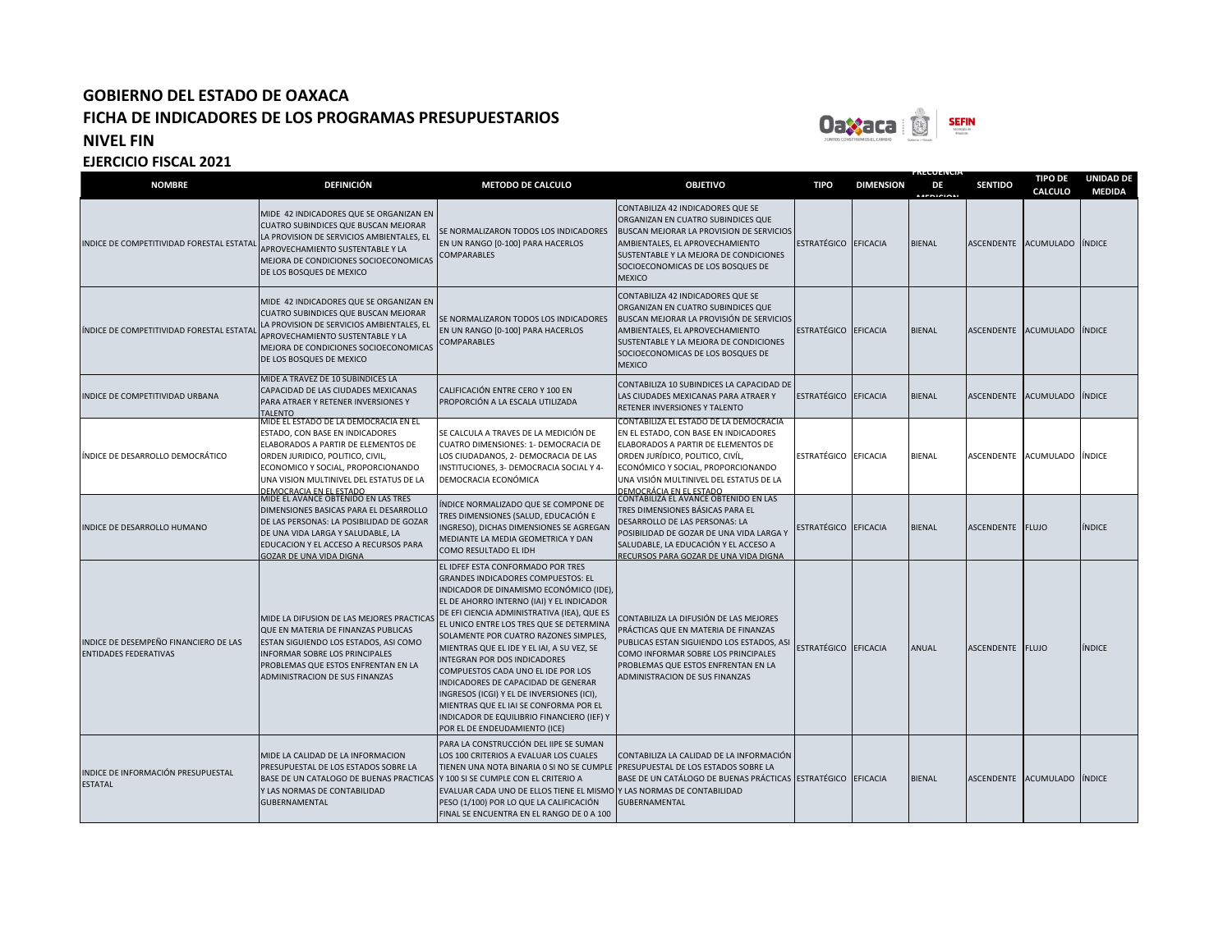

**FRECUENCIA** 

| <b>NOMBRE</b>                                                         | <b>DEFINICIÓN</b>                                                                                                                                                                                                                                               | <b>METODO DE CALCULO</b>                                                                                                                                                                                                                                                                                                                                                                                                                                                                                                                                                                                                                     | <b>OBJETIVO</b>                                                                                                                                                                                                                                                        | <b>TIPO</b>          | <b>DIMENSION</b> | DE<br><b>AFRICIAN</b> | <b>SENTIDO</b>       | <b>TIPO DE</b><br><b>CALCULO</b> | <b>UNIDAD DE</b><br><b>MEDIDA</b> |
|-----------------------------------------------------------------------|-----------------------------------------------------------------------------------------------------------------------------------------------------------------------------------------------------------------------------------------------------------------|----------------------------------------------------------------------------------------------------------------------------------------------------------------------------------------------------------------------------------------------------------------------------------------------------------------------------------------------------------------------------------------------------------------------------------------------------------------------------------------------------------------------------------------------------------------------------------------------------------------------------------------------|------------------------------------------------------------------------------------------------------------------------------------------------------------------------------------------------------------------------------------------------------------------------|----------------------|------------------|-----------------------|----------------------|----------------------------------|-----------------------------------|
| INDICE DE COMPETITIVIDAD FORESTAL ESTATA                              | MIDE 42 INDICADORES QUE SE ORGANIZAN EN<br>CUATRO SUBINDICES QUE BUSCAN MEJORAR<br>LA PROVISION DE SERVICIOS AMBIENTALES, EL<br>APROVECHAMIENTO SUSTENTABLE Y LA<br>MEJORA DE CONDICIONES SOCIOECONOMICAS<br>DE LOS BOSQUES DE MEXICO                           | SE NORMALIZARON TODOS LOS INDICADORES<br>EN UN RANGO [0-100] PARA HACERLOS<br>COMPARABLES                                                                                                                                                                                                                                                                                                                                                                                                                                                                                                                                                    | CONTABILIZA 42 INDICADORES QUE SE<br>ORGANIZAN EN CUATRO SUBINDICES QUE<br>BUSCAN MEJORAR LA PROVISION DE SERVICIOS<br>AMBIENTALES, EL APROVECHAMIENTO<br>SUSTENTABLE Y LA MEJORA DE CONDICIONES<br>SOCIOECONOMICAS DE LOS BOSQUES DE<br><b>MEXICO</b>                 | ESTRATÉGICO EFICACIA |                  | <b>BIENAL</b>         | ASCENDENTE ACUMULADO |                                  | <b>ÍNDICE</b>                     |
| INDICE DE COMPETITIVIDAD FORESTAL ESTATA                              | MIDE 42 INDICADORES QUE SE ORGANIZAN EN<br>CUATRO SUBINDICES QUE BUSCAN MEJORAR<br>LA PROVISION DE SERVICIOS AMBIENTALES, EL<br>APROVECHAMIENTO SUSTENTABLE Y LA<br>MEJORA DE CONDICIONES SOCIOECONOMICAS<br>DE LOS BOSQUES DE MEXICO                           | SE NORMALIZARON TODOS LOS INDICADORES<br>EN UN RANGO [0-100] PARA HACERLOS<br><b>COMPARABLES</b>                                                                                                                                                                                                                                                                                                                                                                                                                                                                                                                                             | CONTABILIZA 42 INDICADORES QUE SE<br>ORGANIZAN EN CUATRO SUBINDICES QUE<br>BUSCAN MEJORAR LA PROVISIÓN DE SERVICIOS<br>AMBIENTALES, EL APROVECHAMIENTO<br>SUSTENTABLE Y LA MEJORA DE CONDICIONES<br>SOCIOECONOMICAS DE LOS BOSQUES DE<br><b>MEXICO</b>                 | ESTRATÉGICO EFICACIA |                  | <b>BIENAL</b>         | <b>ASCENDENTE</b>    | ACUMULADO INDICE                 |                                   |
| INDICE DE COMPETITIVIDAD URBANA                                       | MIDE A TRAVEZ DE 10 SUBINDICES LA<br>CAPACIDAD DE LAS CIUDADES MEXICANAS<br>PARA ATRAER Y RETENER INVERSIONES Y<br><b>TALENTO</b>                                                                                                                               | CALIFICACIÓN ENTRE CERO Y 100 EN<br>PROPORCIÓN A LA ESCALA UTILIZADA                                                                                                                                                                                                                                                                                                                                                                                                                                                                                                                                                                         | CONTABILIZA 10 SUBINDICES LA CAPACIDAD DE<br>LAS CIUDADES MEXICANAS PARA ATRAER Y<br>RETENER INVERSIONES Y TALENTO                                                                                                                                                     | ESTRATÉGICO EFICACIA |                  | <b>BIENAL</b>         | <b>ASCENDENTE</b>    | <b>ACUMULADO</b>                 | <b>ÍNDICE</b>                     |
| ÍNDICE DE DESARROLLO DEMOCRÁTICO                                      | MIDE EL ESTADO DE LA DEMOCRACIA EN EL<br>ESTADO, CON BASE EN INDICADORES<br>ELABORADOS A PARTIR DE ELEMENTOS DE<br>ORDEN JURIDICO, POLITICO, CIVIL,<br>ECONOMICO Y SOCIAL, PROPORCIONANDO<br>UNA VISION MULTINIVEL DEL ESTATUS DE LA<br>DEMOCRACIA EN EL ESTADO | SE CALCULA A TRAVES DE LA MEDICIÓN DE<br>CUATRO DIMENSIONES: 1- DEMOCRACIA DE<br>LOS CIUDADANOS, 2- DEMOCRACIA DE LAS<br>INSTITUCIONES, 3- DEMOCRACIA SOCIAL Y 4-<br>DEMOCRACIA ECONÓMICA                                                                                                                                                                                                                                                                                                                                                                                                                                                    | CONTABILIZA EL ESTADO DE LA DEMOCRÁCIA<br>EN EL ESTADO, CON BASE EN INDICADORES<br>ELABORADOS A PARTIR DE ELEMENTOS DE<br>ORDEN JURÍDICO, POLITICO, CIVÍL,<br>ECONÓMICO Y SOCIAL, PROPORCIONANDO<br>UNA VISIÓN MULTINIVEL DEL ESTATUS DE LA<br>DEMOCRÁCIA EN EL ESTADO | ESTRATÉGICO EFICACIA |                  | <b>BIENAL</b>         | ASCENDENTE           | ACUMULADO ÍNDICE                 |                                   |
| INDICE DE DESARROLLO HUMANO                                           | MIDE EL AVANCE OBTENIDO EN LAS TRES<br>DIMENSIONES BASICAS PARA EL DESARROLLO<br>DE LAS PERSONAS: LA POSIBILIDAD DE GOZAR<br>DE UNA VIDA LARGA Y SALUDABLE, LA<br>EDUCACION Y EL ACCESO A RECURSOS PARA<br>GOZAR DE UNA VIDA DIGNA                              | ÍNDICE NORMALIZADO QUE SE COMPONE DE<br>TRES DIMENSIONES (SALUD, EDUCACIÓN E<br>INGRESO), DICHAS DIMENSIONES SE AGREGAN<br>MEDIANTE LA MEDIA GEOMETRICA Y DAN<br>COMO RESULTADO EL IDH                                                                                                                                                                                                                                                                                                                                                                                                                                                       | CONTABILIZA EL AVANCE OBTENIDO EN LAS<br>TRES DIMENSIONES BÁSICAS PARA EL<br>DESARROLLO DE LAS PERSONAS: LA<br>POSIBILIDAD DE GOZAR DE UNA VIDA LARGA Y<br>SALUDABLE, LA EDUCACIÓN Y EL ACCESO A<br>RECURSOS PARA GOZAR DE UNA VIDA DIGNA                              | ESTRATÉGICO EFICACIA |                  | <b>BIENAL</b>         | ASCENDENTE FLUJO     |                                  | <b>ÍNDICE</b>                     |
| INDICE DE DESEMPEÑO FINANCIERO DE LAS<br><b>ENTIDADES FEDERATIVAS</b> | MIDE LA DIFUSION DE LAS MEJORES PRACTICAS<br>QUE EN MATERIA DE FINANZAS PUBLICAS<br>ESTAN SIGUIENDO LOS ESTADOS, ASI COMO<br><b>INFORMAR SOBRE LOS PRINCIPALES</b><br>PROBLEMAS QUE ESTOS ENFRENTAN EN LA<br>ADMINISTRACION DE SUS FINANZAS                     | EL IDFEF ESTA CONFORMADO POR TRES<br><b>GRANDES INDICADORES COMPUESTOS: EL</b><br>INDICADOR DE DINAMISMO ECONÓMICO (IDE),<br>EL DE AHORRO INTERNO (IAI) Y EL INDICADOR<br>DE EFI CIENCIA ADMINISTRATIVA (IEA), QUE ES<br>EL UNICO ENTRE LOS TRES QUE SE DETERMINA<br>SOLAMENTE POR CUATRO RAZONES SIMPLES,<br>MIENTRAS QUE EL IDE Y EL IAI, A SU VEZ, SE<br>INTEGRAN POR DOS INDICADORES<br>COMPUESTOS CADA UNO EL IDE POR LOS<br>INDICADORES DE CAPACIDAD DE GENERAR<br>INGRESOS (ICGI) Y EL DE INVERSIONES (ICI),<br>MIENTRAS QUE EL IAI SE CONFORMA POR EL<br>INDICADOR DE EQUILIBRIO FINANCIERO (IEF) Y<br>POR EL DE ENDEUDAMIENTO (ICE) | CONTABILIZA LA DIFUSIÓN DE LAS MEJORES<br>PRÁCTICAS QUE EN MATERIA DE FINANZAS<br>PUBLICAS ESTAN SIGUIENDO LOS ESTADOS, ASI<br>COMO INFORMAR SOBRE LOS PRINCIPALES<br>PROBLEMAS QUE ESTOS ENFRENTAN EN LA<br>ADMINISTRACION DE SUS FINANZAS                            | ESTRATÉGICO EFICACIA |                  | <b>ANUAL</b>          | ASCENDENTE FLUJO     |                                  | <b>ÍNDICE</b>                     |
| INDICE DE INFORMACIÓN PRESUPUESTAL<br><b>ESTATAL</b>                  | MIDE LA CALIDAD DE LA INFORMACION<br>PRESUPUESTAL DE LOS ESTADOS SOBRE LA<br>BASE DE UN CATALOGO DE BUENAS PRACTICAS  Y 100 SI SE CUMPLE CON EL CRITERIO A<br>Y LAS NORMAS DE CONTABILIDAD<br><b>GUBERNAMENTAL</b>                                              | PARA LA CONSTRUCCIÓN DEL IIPE SE SUMAN<br>LOS 100 CRITERIOS A EVALUAR LOS CUALES<br>TIENEN UNA NOTA BINARIA 0 SI NO SE CUMPLE PRESUPUESTAL DE LOS ESTADOS SOBRE LA<br>EVALUAR CADA UNO DE ELLOS TIENE EL MISMO Y LAS NORMAS DE CONTABILIDAD<br>PESO (1/100) POR LO QUE LA CALIFICACIÓN<br>FINAL SE ENCUENTRA EN EL RANGO DE 0 A 100                                                                                                                                                                                                                                                                                                          | CONTABILIZA LA CALIDAD DE LA INFORMACIÓN<br>BASE DE UN CATÁLOGO DE BUENAS PRÁCTICAS ESTRATÉGICO EFICACIA<br><b>GUBERNAMENTAL</b>                                                                                                                                       |                      |                  | <b>BIENAL</b>         | <b>ASCENDENTE</b>    | <b>ACUMULADO</b>                 | <b>INDICE</b>                     |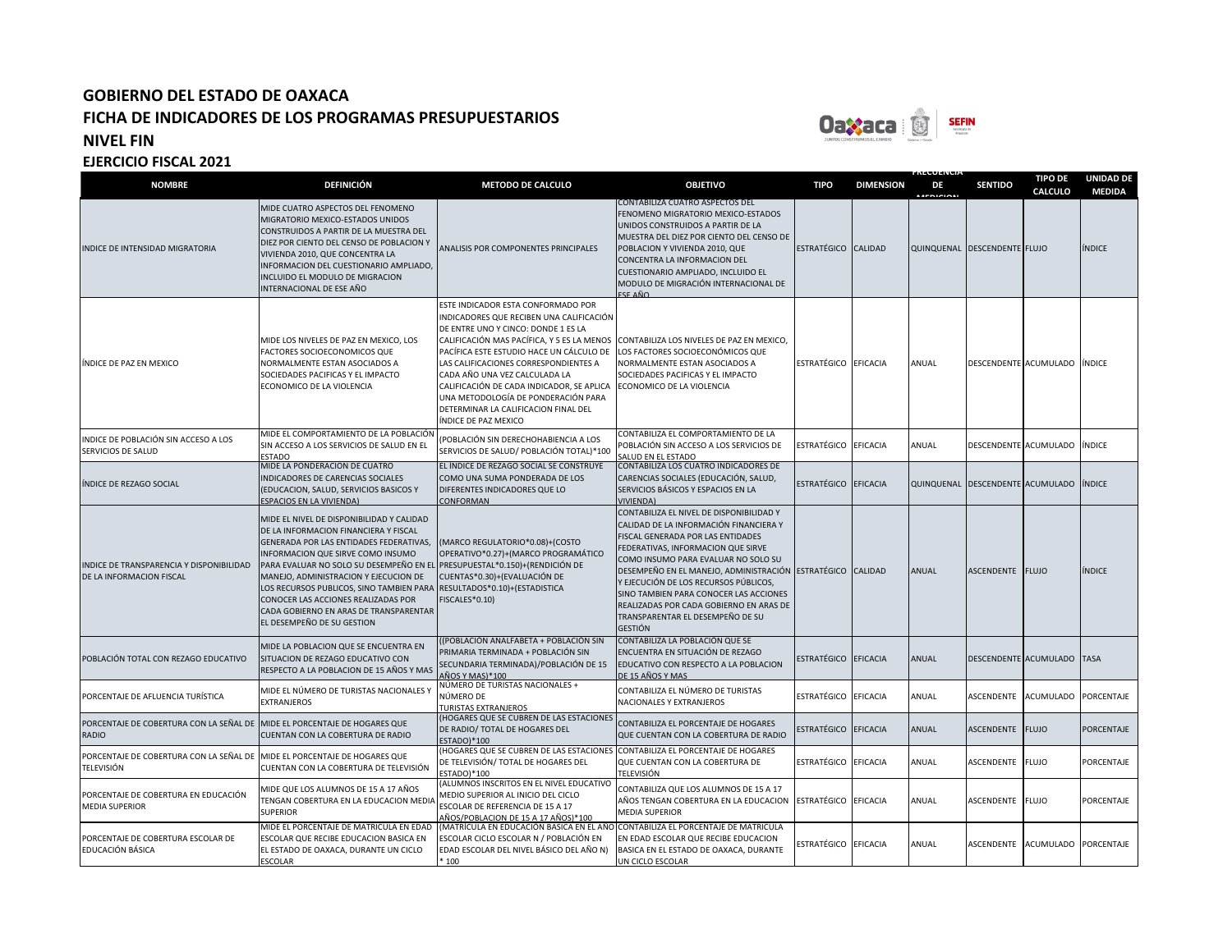

**FRECUENCIA** 

| <b>NOMBRE</b>                                                                            | <b>DEFINICIÓN</b>                                                                                                                                                                                                                                                                                                                                                                                                                                                                 | <b>METODO DE CALCULO</b>                                                                                                                                                                                                                                                                                                                                                                                                                      | <b>OBJETIVO</b>                                                                                                                                                                                                                                                                                                                                                                                                                                        | <b>TIPO</b>          | <b>DIMENSION</b> | DE<br><b>ACRICIAN</b> | <b>SENTIDO</b>               | <b>TIPO DE</b><br>CALCULO    | <b>UNIDAD DE</b><br><b>MEDIDA</b> |
|------------------------------------------------------------------------------------------|-----------------------------------------------------------------------------------------------------------------------------------------------------------------------------------------------------------------------------------------------------------------------------------------------------------------------------------------------------------------------------------------------------------------------------------------------------------------------------------|-----------------------------------------------------------------------------------------------------------------------------------------------------------------------------------------------------------------------------------------------------------------------------------------------------------------------------------------------------------------------------------------------------------------------------------------------|--------------------------------------------------------------------------------------------------------------------------------------------------------------------------------------------------------------------------------------------------------------------------------------------------------------------------------------------------------------------------------------------------------------------------------------------------------|----------------------|------------------|-----------------------|------------------------------|------------------------------|-----------------------------------|
| NDICE DE INTENSIDAD MIGRATORIA                                                           | MIDE CUATRO ASPECTOS DEL FENOMENO<br>MIGRATORIO MEXICO-ESTADOS UNIDOS<br>CONSTRUIDOS A PARTIR DE LA MUESTRA DEL<br>DIEZ POR CIENTO DEL CENSO DE POBLACION Y<br>VIVIENDA 2010, QUE CONCENTRA LA<br>INFORMACION DEL CUESTIONARIO AMPLIADO,<br>INCLUIDO EL MODULO DE MIGRACION<br>INTERNACIONAL DE ESE AÑO                                                                                                                                                                           | ANALISIS POR COMPONENTES PRINCIPALES                                                                                                                                                                                                                                                                                                                                                                                                          | <b>CONTABILIZA CUATRO ASPECTOS DEL</b><br>FENOMENO MIGRATORIO MEXICO-ESTADOS<br>UNIDOS CONSTRUIDOS A PARTIR DE LA<br>MUESTRA DEL DIEZ POR CIENTO DEL CENSO DE<br>POBLACION Y VIVIENDA 2010, QUE<br>CONCENTRA LA INFORMACION DEL<br>CUESTIONARIO AMPLIADO, INCLUIDO EL<br>MODULO DE MIGRACIÓN INTERNACIONAL DE<br>FSF AÑO                                                                                                                               | ESTRATÉGICO CALIDAD  |                  |                       | QUINQUENAL DESCENDENTE FLUJO |                              | ÍNDICE                            |
| NDICE DE PAZ EN MEXICO                                                                   | MIDE LOS NIVELES DE PAZ EN MEXICO, LOS<br>FACTORES SOCIOECONOMICOS QUE<br>NORMALMENTE ESTAN ASOCIADOS A<br>SOCIEDADES PACIFICAS Y EL IMPACTO<br>ECONOMICO DE LA VIOLENCIA                                                                                                                                                                                                                                                                                                         | ESTE INDICADOR ESTA CONFORMADO POR<br>INDICADORES QUE RECIBEN UNA CALIFICACIÓN<br>DE ENTRE UNO Y CINCO: DONDE 1 ES LA<br>CALIFICACIÓN MAS PACÍFICA, Y 5 ES LA MENOS<br>PACÍFICA ESTE ESTUDIO HACE UN CÁLCULO DE<br>LAS CALIFICACIONES CORRESPONDIENTES A<br>CADA AÑO UNA VEZ CALCULADA LA<br>CALIFICACIÓN DE CADA INDICADOR, SE APLICA<br>UNA METODOLOGÍA DE PONDERACIÓN PARA<br>DETERMINAR LA CALIFICACION FINAL DEL<br>ÍNDICE DE PAZ MEXICO | CONTABILIZA LOS NIVELES DE PAZ EN MEXICO,<br>LOS FACTORES SOCIOECONÓMICOS QUE<br>NORMALMENTE ESTAN ASOCIADOS A<br>SOCIEDADES PACIFICAS Y EL IMPACTO<br>ECONOMICO DE LA VIOLENCIA                                                                                                                                                                                                                                                                       | ESTRATÉGICO EFICACIA |                  | ANUAL                 |                              | DESCENDENTE ACUMULADO INDICE |                                   |
| NDICE DE POBLACIÓN SIN ACCESO A LOS<br>SERVICIOS DE SALUD                                | MIDE EL COMPORTAMIENTO DE LA POBLACIÓN<br>SIN ACCESO A LOS SERVICIOS DE SALUD EN EL<br><b>ESTADO</b>                                                                                                                                                                                                                                                                                                                                                                              | POBLACIÓN SIN DERECHOHABIENCIA A LOS<br>SERVICIOS DE SALUD/ POBLACIÓN TOTAL)*100                                                                                                                                                                                                                                                                                                                                                              | CONTABILIZA EL COMPORTAMIENTO DE LA<br>POBLACIÓN SIN ACCESO A LOS SERVICIOS DE<br><b>SALUD EN EL ESTADO</b>                                                                                                                                                                                                                                                                                                                                            | ESTRATÉGICO EFICACIA |                  | ANUAL                 | DESCENDENTE ACUMULADO        |                              | <b>ÍNDICE</b>                     |
| NDICE DE REZAGO SOCIAL                                                                   | MIDE LA PONDERACION DE CUATRO<br>INDICADORES DE CARENCIAS SOCIALES<br>(EDUCACION, SALUD, SERVICIOS BASICOS Y<br><b>ESPACIOS EN LA VIVIENDA)</b>                                                                                                                                                                                                                                                                                                                                   | EL ÍNDICE DE REZAGO SOCIAL SE CONSTRUYE<br>COMO UNA SUMA PONDERADA DE LOS<br>DIFERENTES INDICADORES QUE LO<br>CONFORMAN                                                                                                                                                                                                                                                                                                                       | CONTABILIZA LOS CUATRO INDICADORES DE<br>CARENCIAS SOCIALES (EDUCACIÓN, SALUD,<br>SERVICIOS BÁSICOS Y ESPACIOS EN LA<br><b>VIVIENDA)</b>                                                                                                                                                                                                                                                                                                               | ESTRATÉGICO EFICACIA |                  | QUINQUENAL            | DESCENDENTE ACUMULADO        |                              | <b>INDICE</b>                     |
| NDICE DE TRANSPARENCIA Y DISPONIBILIDAD<br>DE LA INFORMACION FISCAL                      | MIDE EL NIVEL DE DISPONIBILIDAD Y CALIDAD<br>DE LA INFORMACION FINANCIERA Y FISCAL<br>GENERADA POR LAS ENTIDADES FEDERATIVAS,<br>INFORMACION QUE SIRVE COMO INSUMO<br>PARA EVALUAR NO SOLO SU DESEMPEÑO EN EL PRESUPUESTAL*0.150)+(RENDICIÓN DE<br>MANEJO, ADMINISTRACION Y EJECUCION DE<br>LOS RECURSOS PUBLICOS, SINO TAMBIEN PARA RESULTADOS*0.10)+(ESTADISTICA<br>CONOCER LAS ACCIONES REALIZADAS POR<br>CADA GOBIERNO EN ARAS DE TRANSPARENTAR<br>EL DESEMPEÑO DE SU GESTION | (MARCO REGULATORIO*0.08)+(COSTO<br>OPERATIVO*0.27)+(MARCO PROGRAMÁTICO<br>CUENTAS*0.30)+(EVALUACIÓN DE<br>FISCALES*0.10)                                                                                                                                                                                                                                                                                                                      | CONTABILIZA EL NIVEL DE DISPONIBILIDAD Y<br>CALIDAD DE LA INFORMACIÓN FINANCIERA Y<br>FISCAL GENERADA POR LAS ENTIDADES<br>FEDERATIVAS, INFORMACION QUE SIRVE<br>COMO INSUMO PARA EVALUAR NO SOLO SU<br>DESEMPEÑO EN EL MANEJO, ADMINISTRACIÓN ESTRATÉGICO CALIDAD<br>Y EJECUCIÓN DE LOS RECURSOS PÚBLICOS,<br>SINO TAMBIEN PARA CONOCER LAS ACCIONES<br>REALIZADAS POR CADA GOBIERNO EN ARAS DE<br>TRANSPARENTAR EL DESEMPEÑO DE SU<br><b>GESTIÓN</b> |                      |                  | ANUAL                 | ASCENDENTE FLUJO             |                              | ÍNDICE                            |
| POBLACIÓN TOTAL CON REZAGO EDUCATIVO                                                     | MIDE LA POBLACION QUE SE ENCUENTRA EN<br>SITUACION DE REZAGO EDUCATIVO CON<br>RESPECTO A LA POBLACION DE 15 AÑOS Y MAS                                                                                                                                                                                                                                                                                                                                                            | (POBLACIÓN ANALFABETA + POBLACIÓN SIN<br>PRIMARIA TERMINADA + POBLACIÓN SIN<br>SECUNDARIA TERMINADA)/POBLACIÓN DE 15<br>AÑOS Y MAS)*100                                                                                                                                                                                                                                                                                                       | CONTABILIZA LA POBLACIÓN QUE SE<br>ENCUENTRA EN SITUACIÓN DE REZAGO<br>EDUCATIVO CON RESPECTO A LA POBLACION<br>DE 15 AÑOS Y MAS                                                                                                                                                                                                                                                                                                                       | ESTRATÉGICO EFICACIA |                  | ANUAL                 |                              | DESCENDENTE ACUMULADO TASA   |                                   |
| PORCENTAJE DE AFLUENCIA TURÍSTICA                                                        | MIDE EL NÚMERO DE TURISTAS NACIONALES Y<br><b>EXTRANJEROS</b>                                                                                                                                                                                                                                                                                                                                                                                                                     | NÚMERO DE TURISTAS NACIONALES +<br>NÚMERO DE<br>TURISTAS EXTRANJEROS                                                                                                                                                                                                                                                                                                                                                                          | CONTABILIZA EL NÚMERO DE TURISTAS<br>NACIONALES Y EXTRANJEROS                                                                                                                                                                                                                                                                                                                                                                                          | ESTRATÉGICO EFICACIA |                  | ANUAL                 | ASCENDENTE                   | <b>ACUMULADO</b>             | PORCENTAJE                        |
| PORCENTAJE DE COBERTURA CON LA SEÑAL DE<br>RADIO                                         | MIDE EL PORCENTAJE DE HOGARES QUE<br>CUENTAN CON LA COBERTURA DE RADIO                                                                                                                                                                                                                                                                                                                                                                                                            | (HOGARES QUE SE CUBREN DE LAS ESTACIONES<br>DE RADIO/ TOTAL DE HOGARES DEL<br>ESTADO)*100                                                                                                                                                                                                                                                                                                                                                     | CONTABILIZA EL PORCENTAJE DE HOGARES<br>QUE CUENTAN CON LA COBERTURA DE RADIO                                                                                                                                                                                                                                                                                                                                                                          | ESTRATÉGICO EFICACIA |                  | ANUAL                 | ASCENDENTE FLUJO             |                              | <b>PORCENTAJE</b>                 |
| PORCENTAJE DE COBERTURA CON LA SEÑAL DE MIIDE EL PORCENTAJE DE HOGARES QUE<br>TELEVISIÓN | CUENTAN CON LA COBERTURA DE TELEVISIÓN                                                                                                                                                                                                                                                                                                                                                                                                                                            | (HOGARES QUE SE CUBREN DE LAS ESTACIONES<br>DE TELEVISIÓN/ TOTAL DE HOGARES DEL<br>STADO)*100                                                                                                                                                                                                                                                                                                                                                 | CONTABILIZA EL PORCENTAJE DE HOGARES<br>QUE CUENTAN CON LA COBERTURA DE<br>TELEVISIÓN                                                                                                                                                                                                                                                                                                                                                                  | ESTRATÉGICO EFICACIA |                  | ANUAL                 | ASCENDENTE                   | <b>FLUJO</b>                 | PORCENTAJE                        |
| PORCENTAJE DE COBERTURA EN EDUCACIÓN<br><b>MEDIA SUPERIOR</b>                            | MIDE QUE LOS ALUMNOS DE 15 A 17 AÑOS<br>TENGAN COBERTURA EN LA EDUCACION MEDIA<br><b>SUPERIOR</b>                                                                                                                                                                                                                                                                                                                                                                                 | (ALUMNOS INSCRITOS EN EL NIVEL EDUCATIVO<br>MEDIO SUPERIOR AL INICIO DEL CICLO<br>ESCOLAR DE REFERENCIA DE 15 A 17<br><b>\ÑOS/POBLACION DE 15 A 17 AÑOS)*100</b>                                                                                                                                                                                                                                                                              | CONTABILIZA QUE LOS ALUMNOS DE 15 A 17<br>AÑOS TENGAN COBERTURA EN LA EDUCACION<br><b>MEDIA SUPERIOR</b>                                                                                                                                                                                                                                                                                                                                               | ESTRATÉGICO EFICACIA |                  | ANUAL                 | ASCENDENTE                   | <b>FLUJO</b>                 | PORCENTAJE                        |
| PORCENTAJE DE COBERTURA ESCOLAR DE<br>EDUCACIÓN BÁSICA                                   | MIDE EL PORCENTAJE DE MATRICULA EN EDAD<br>ESCOLAR QUE RECIBE EDUCACION BASICA EN<br>EL ESTADO DE OAXACA, DURANTE UN CICLO<br><b>ESCOLAR</b>                                                                                                                                                                                                                                                                                                                                      | (MATRÍCULA EN EDUCACIÓN BASICA EN EL AÑO CONTABILIZA EL PORCENTAJE DE MATRICULA<br>ESCOLAR CICLO ESCOLAR N / POBLACIÓN EN<br>EDAD ESCOLAR DEL NIVEL BÁSICO DEL AÑO N)<br>* 100                                                                                                                                                                                                                                                                | EN EDAD ESCOLAR QUE RECIBE EDUCACION<br>BASICA EN EL ESTADO DE OAXACA, DURANTE<br>UN CICLO ESCOLAR                                                                                                                                                                                                                                                                                                                                                     | ESTRATÉGICO EFICACIA |                  | ANUAL                 |                              | ASCENDENTE ACUMULADO         | PORCENTAJE                        |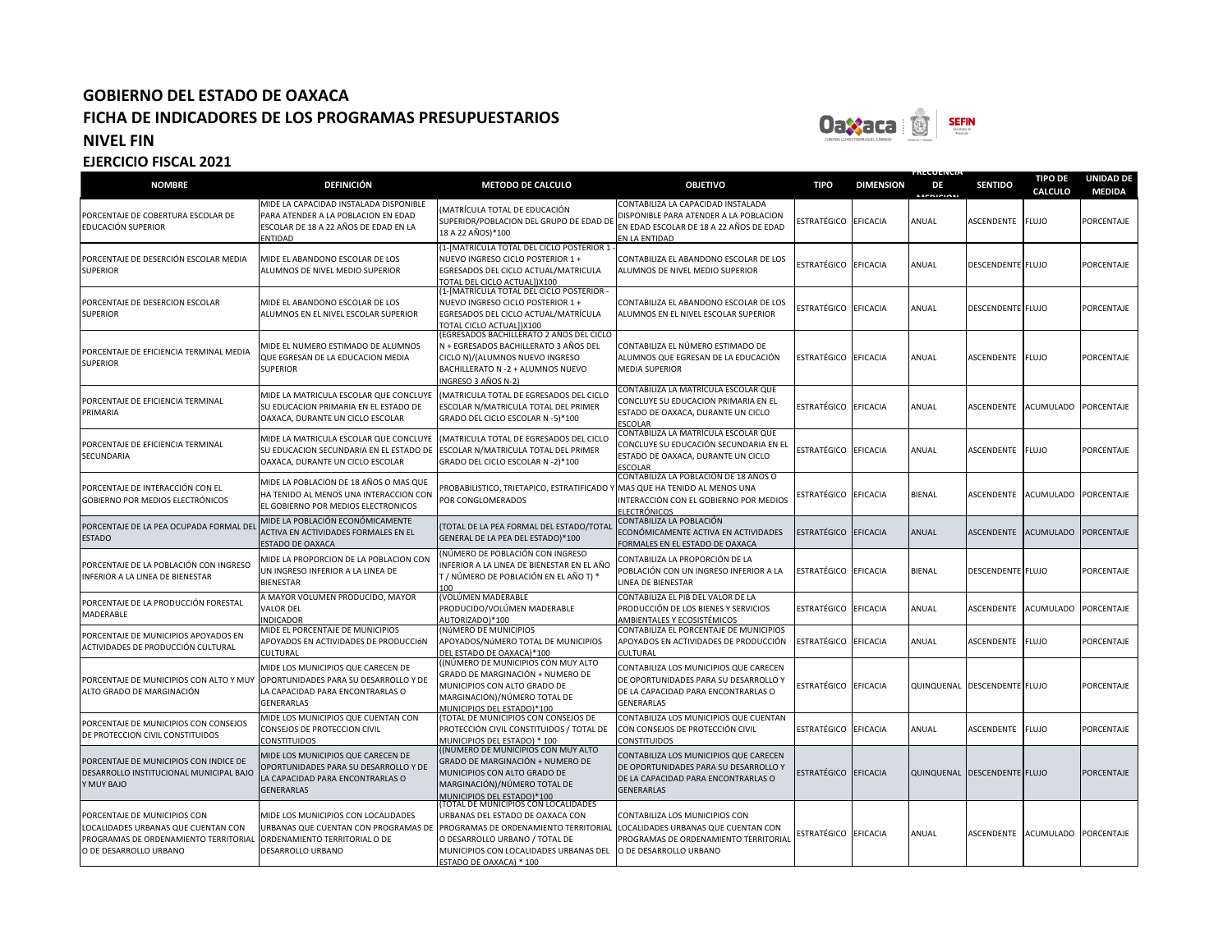

**FRECUENCIA** 

| <b>NOMBRE</b>                                                                                                                          | <b>DEFINICIÓN</b>                                                                                                                                          | <b>METODO DE CALCULO</b>                                                                                                                                                                                                 | <b>OBJETIVO</b>                                                                                                                             | <b>TIPO</b>          | <b>DIMENSION</b> | DE<br><b>MEDICION</b> | <b>SENTIDO</b>               | <b>TIPO DE</b><br><b>CALCULO</b> | <b>UNIDAD DE</b><br><b>MEDIDA</b> |
|----------------------------------------------------------------------------------------------------------------------------------------|------------------------------------------------------------------------------------------------------------------------------------------------------------|--------------------------------------------------------------------------------------------------------------------------------------------------------------------------------------------------------------------------|---------------------------------------------------------------------------------------------------------------------------------------------|----------------------|------------------|-----------------------|------------------------------|----------------------------------|-----------------------------------|
| PORCENTAJE DE COBERTURA ESCOLAR DE<br>EDUCACIÓN SUPERIOR                                                                               | MIDE LA CAPACIDAD INSTALADA DISPONIBLE<br>PARA ATENDER A LA POBLACION EN EDAD<br>ESCOLAR DE 18 A 22 AÑOS DE EDAD EN LA<br><b>ENTIDAD</b>                   | (MATRÍCULA TOTAL DE EDUCACIÓN<br>SUPERIOR/POBLACION DEL GRUPO DE EDAD DE<br>18 A 22 AÑOS)*100                                                                                                                            | CONTABILIZA LA CAPACIDAD INSTALADA<br>DISPONIBLE PARA ATENDER A LA POBLACION<br>EN EDAD ESCOLAR DE 18 A 22 AÑOS DE EDAD<br>EN LA ENTIDAD    | ESTRATÉGICO EFICACIA |                  | ANUAL                 | ASCENDENTE                   | <b>FLUJO</b>                     | <b>PORCENTAJE</b>                 |
| PORCENTAJE DE DESERCIÓN ESCOLAR MEDIA<br><b>SUPERIOR</b>                                                                               | MIDE EL ABANDONO ESCOLAR DE LOS<br>ALUMNOS DE NIVEL MEDIO SUPERIOR                                                                                         | (1-[MATRÍCULA TOTAL DEL CICLO POSTERIOR 1<br>NUEVO INGRESO CICLO POSTERIOR 1 +<br>EGRESADOS DEL CICLO ACTUAL/MATRICULA<br>TOTAL DEL CICLO ACTUAL])X100                                                                   | CONTABILIZA EL ABANDONO ESCOLAR DE LOS<br>ALUMNOS DE NIVEL MEDIO SUPERIOR                                                                   | ESTRATÉGICO EFICACIA |                  | ANUAL                 | <b>DESCENDENTE FLUJO</b>     |                                  | PORCENTAJE                        |
| PORCENTAJE DE DESERCION ESCOLAR<br><b>SUPERIOR</b>                                                                                     | MIDE EL ABANDONO ESCOLAR DE LOS<br>ALUMNOS EN EL NIVEL ESCOLAR SUPERIOR                                                                                    | (1-[MATRICULA TOTAL DEL CICLO POSTERIOR -<br>NUEVO INGRESO CICLO POSTERIOR 1 +<br>EGRESADOS DEL CICLO ACTUAL/MATRÍCULA<br>TOTAL CICLO ACTUALI)X100                                                                       | CONTABILIZA EL ABANDONO ESCOLAR DE LOS<br>ALUMNOS EN EL NIVEL ESCOLAR SUPERIOR                                                              | ESTRATÉGICO EFICACIA |                  | ANUAL                 | <b>DESCENDENTE FLUJO</b>     |                                  | PORCENTAJE                        |
| PORCENTAJE DE EFICIENCIA TERMINAL MEDIA<br><b>SUPERIOR</b>                                                                             | MIDE EL NUMERO ESTIMADO DE ALUMNOS<br>QUE EGRESAN DE LA EDUCACION MEDIA<br><b>SUPERIOR</b>                                                                 | (EGRESADOS BACHILLERATO 2 AÑOS DEL CICLO<br>N + EGRESADOS BACHILLERATO 3 AÑOS DEL<br>CICLO N)/(ALUMNOS NUEVO INGRESO<br>BACHILLERATO N - 2 + ALUMNOS NUEVO<br>INGRESO 3 AÑOS N-2)                                        | CONTABILIZA EL NÚMERO ESTIMADO DE<br>ALUMNOS QUE EGRESAN DE LA EDUCACIÓN<br><b>MEDIA SUPERIOR</b>                                           | ESTRATÉGICO EFICACIA |                  | ANUAL                 | ASCENDENTE                   | <b>FLUJO</b>                     | PORCENTAJE                        |
| PORCENTAJE DE EFICIENCIA TERMINAL<br>PRIMARIA                                                                                          | MIDE LA MATRICULA ESCOLAR QUE CONCLUYE<br>SU EDUCACION PRIMARIA EN EL ESTADO DE<br>OAXACA, DURANTE UN CICLO ESCOLAR                                        | (MATRICULA TOTAL DE EGRESADOS DEL CICLO<br>ESCOLAR N/MATRICULA TOTAL DEL PRIMER<br>GRADO DEL CICLO ESCOLAR N -5)*100                                                                                                     | CONTABILIZA LA MATRÍCULA ESCOLAR QUE<br>CONCLUYE SU EDUCACION PRIMARIA EN EL<br>ESTADO DE OAXACA, DURANTE UN CICLO<br>ESCOLAR               | ESTRATÉGICO EFICACIA |                  | ANUAL                 | ASCENDENTE                   | <b>ACUMULADO</b>                 | PORCENTAJE                        |
| PORCENTAJE DE EFICIENCIA TERMINAL<br>SECUNDARIA                                                                                        | MIDE LA MATRICULA ESCOLAR QUE CONCLUYE<br>SU EDUCACION SECUNDARIA EN EL ESTADO DE ESCOLAR N/MATRICULA TOTAL DEL PRIMER<br>OAXACA, DURANTE UN CICLO ESCOLAR | (MATRICULA TOTAL DE EGRESADOS DEL CICLO<br>GRADO DEL CICLO ESCOLAR N -2)*100                                                                                                                                             | CONTABILIZA LA MATRÍCULA ESCOLAR QUE<br>CONCLUYE SU EDUCACIÓN SECUNDARIA EN EL<br>ESTADO DE OAXACA, DURANTE UN CICLO<br>ESCOLAR             | ESTRATÉGICO EFICACIA |                  | ANUAL                 | ASCENDENTE                   | <b>FLUJO</b>                     | PORCENTAJE                        |
| PORCENTAJE DE INTERACCIÓN CON EL<br>GOBIERNO POR MEDIOS ELECTRÓNICOS                                                                   | MIDE LA POBLACION DE 18 AÑOS O MAS QUE<br>HA TENIDO AL MENOS UNA INTERACCION CON<br>EL GOBIERNO POR MEDIOS ELECTRONICOS                                    | PROBABILISTICO, TRIETAPICO, ESTRATIFICADO<br>POR CONGLOMERADOS                                                                                                                                                           | CONTABILIZA LA POBLACIÓN DE 18 AÑOS O<br>MAS QUE HA TENIDO AL MENOS UNA<br>INTERACCIÓN CON EL GOBIERNO POR MEDIOS<br>ELECTRÓNICOS           | ESTRATÉGICO          | <b>EFICACIA</b>  | BIENAL                | <b>ASCENDENTE</b>            | <b>ACUMULADO</b>                 | PORCENTAJE                        |
| PORCENTAJE DE LA PEA OCUPADA FORMAL DE<br>ESTADO                                                                                       | MIDE LA POBLACIÓN ECONÓMICAMENTE<br><b>ACTIVA EN ACTIVIDADES FORMALES EN EL</b><br><b>ESTADO DE OAXACA</b>                                                 | (TOTAL DE LA PEA FORMAL DEL ESTADO/TOTAI<br>GENERAL DE LA PEA DEL ESTADO)*100                                                                                                                                            | CONTABILIZA LA POBLACIÓN<br>ECONÓMICAMENTE ACTIVA EN ACTIVIDADES<br>FORMALES EN EL ESTADO DE OAXACA                                         | <b>ESTRATÉGICO</b>   | EFICACIA         | ANUAL                 | ASCENDENTE                   | <b>ACUMULADO</b>                 | PORCENTAJE                        |
| PORCENTAJE DE LA POBLACIÓN CON INGRESO<br>NFERIOR A LA LINEA DE BIENESTAR                                                              | MIDE LA PROPORCION DE LA POBLACION CON<br>JN INGRESO INFERIOR A LA LINEA DE<br><b>BIENESTAR</b>                                                            | NÚMERO DE POBLACIÓN CON INGRESO<br>NFERIOR A LA LINEA DE BIENESTAR EN EL AÑO<br>T / NÚMERO DE POBLACIÓN EN EL AÑO T) *<br>100                                                                                            | CONTABILIZA LA PROPORCIÓN DE LA<br>POBLACIÓN CON UN INGRESO INFERIOR A LA<br>LINEA DE BIENESTAR                                             | ESTRATÉGICO EFICACIA |                  | <b>BIENAL</b>         | DESCENDENTE FLUJO            |                                  | PORCENTAJE                        |
| PORCENTAJE DE LA PRODUCCIÓN FORESTAL<br>MADERABLE                                                                                      | A MAYOR VOLUMEN PRODUCIDO, MAYOR<br><b>ALOR DEL</b><br><b>NDICADOR</b>                                                                                     | (VOLÚMEN MADERABLE<br>PRODUCIDO/VOLÚMEN MADERABLE<br>AUTORIZADO)*100                                                                                                                                                     | CONTABILIZA EL PIB DEL VALOR DE LA<br>PRODUCCIÓN DE LOS BIENES Y SERVICIOS<br>AMBIENTALES Y ECOSISTÉMICOS                                   | ESTRATÉGICO EFICACIA |                  | ANUAL                 | ASCENDENTE                   | <b>ACUMULADO</b>                 | PORCENTAJE                        |
| PORCENTAJE DE MUNICIPIOS APOYADOS EN<br>ACTIVIDADES DE PRODUCCIÓN CULTURAL                                                             | MIDE EL PORCENTAJE DE MUNICIPIOS<br>APOYADOS EN ACTIVIDADES DE PRODUCCIÓN<br>CULTURAL                                                                      | (NÚMERO DE MUNICIPIOS<br>APOYADOS/NúMERO TOTAL DE MUNICIPIOS<br>DEL ESTADO DE OAXACA)*100                                                                                                                                | CONTABILIZA EL PORCENTAJE DE MUNICIPIOS<br>APOYADOS EN ACTIVIDADES DE PRODUCCIÓN<br>CULTURAL                                                | ESTRATÉGICO          | <b>EFICACIA</b>  | ANUAL                 | ASCENDENTE                   | <b>FLUJO</b>                     | PORCENTAJE                        |
| PORCENTAJE DE MUNICIPIOS CON ALTO Y MUY<br>ALTO GRADO DE MARGINACIÓN                                                                   | MIDE LOS MUNICIPIOS QUE CARECEN DE<br>OPORTUNIDADES PARA SU DESARROLLO Y DE<br>LA CAPACIDAD PARA ENCONTRARLAS O<br>GENERARLAS                              | ((NÚMERO DE MUNICIPIOS CON MUY ALTO<br>GRADO DE MARGINACIÓN + NUMERO DE<br>MUNICIPIOS CON ALTO GRADO DE<br>MARGINACIÓN)/NÚMERO TOTAL DE<br>MUNICIPIOS DEL ESTADO)*100                                                    | CONTABILIZA LOS MUNICIPIOS QUE CARECEN<br>DE OPORTUNIDADES PARA SU DESARROLLO Y<br>DE LA CAPACIDAD PARA ENCONTRARLAS O<br><b>GENERARLAS</b> | ESTRATÉGICO EFICACIA |                  |                       | QUINQUENAL DESCENDENTE FLUJO |                                  | PORCENTAJE                        |
| PORCENTAJE DE MUNICIPIOS CON CONSEJOS<br>DE PROTECCION CIVIL CONSTITUIDOS                                                              | MIDE LOS MUNICIPIOS QUE CUENTAN CON<br>CONSEJOS DE PROTECCION CIVIL<br>CONSTITUIDOS                                                                        | (TOTAL DE MUNICIPIOS CON CONSEJOS DE<br>PROTECCIÓN CIVIL CONSTITUIDOS / TOTAL DE<br>MUNICIPIOS DEL ESTADO) * 100                                                                                                         | CONTABILIZA LOS MUNICIPIOS QUE CUENTAN<br>CON CONSEJOS DE PROTECCIÓN CIVIL<br><b>CONSTITUIDOS</b>                                           | ESTRATÉGICO EFICACIA |                  | ANUAL                 | ASCENDENTE                   | <b>FLUJO</b>                     | <b>PORCENTAJE</b>                 |
| PORCENTAJE DE MUNICIPIOS CON INDICE DE<br>DESARROLLO INSTITUCIONAL MUNICIPAL BAJO<br><b>MUY BAJO</b>                                   | MIDE LOS MUNICIPIOS QUE CARECEN DE<br>OPORTUNIDADES PARA SU DESARROLLO Y DE<br>LA CAPACIDAD PARA ENCONTRARLAS O<br><b>GENERARLAS</b>                       | ((NÚMERO DE MUNICIPIOS CON MUY ALTO<br>GRADO DE MARGINACIÓN + NUMERO DE<br>MUNICIPIOS CON ALTO GRADO DE<br>MARGINACIÓN)/NÚMERO TOTAL DE<br>MUNICIPIOS DEL ESTADO)*100                                                    | CONTABILIZA LOS MUNICIPIOS QUE CARECEN<br>DE OPORTUNIDADES PARA SU DESARROLLO Y<br>DE LA CAPACIDAD PARA ENCONTRARLAS O<br><b>GENERARLAS</b> | ESTRATÉGICO          | EFICACIA         |                       | QUINQUENAL DESCENDENTE FLUJO |                                  | PORCENTAJE                        |
| PORCENTAJE DE MUNICIPIOS CON<br>LOCALIDADES URBANAS QUE CUENTAN CON<br>PROGRAMAS DE ORDENAMIENTO TERRITORIAL<br>O DE DESARROLLO URBANO | MIDE LOS MUNICIPIOS CON LOCALIDADES<br>URBANAS QUE CUENTAN CON PROGRAMAS DE<br>ORDENAMIENTO TERRITORIAL O DE<br>DESARROLLO URBANO                          | (TOTAL DE MUNICIPIOS CON LOCALIDADES<br>URBANAS DEL ESTADO DE OAXACA CON<br>PROGRAMAS DE ORDENAMIENTO TERRITORIAL<br>O DESARROLLO URBANO / TOTAL DE<br>MUNICIPIOS CON LOCALIDADES URBANAS DEL<br>ESTADO DE OAXACA) * 100 | CONTABILIZA LOS MUNICIPIOS CON<br>LOCALIDADES URBANAS QUE CUENTAN CON<br>PROGRAMAS DE ORDENAMIENTO TERRITORIAL<br>O DE DESARROLLO URBANO    | ESTRATÉGICO EFICACIA |                  | ANUAL                 | <b>ASCENDENTE</b>            | <b>ACUMULADO</b>                 | <b>PORCENTAJE</b>                 |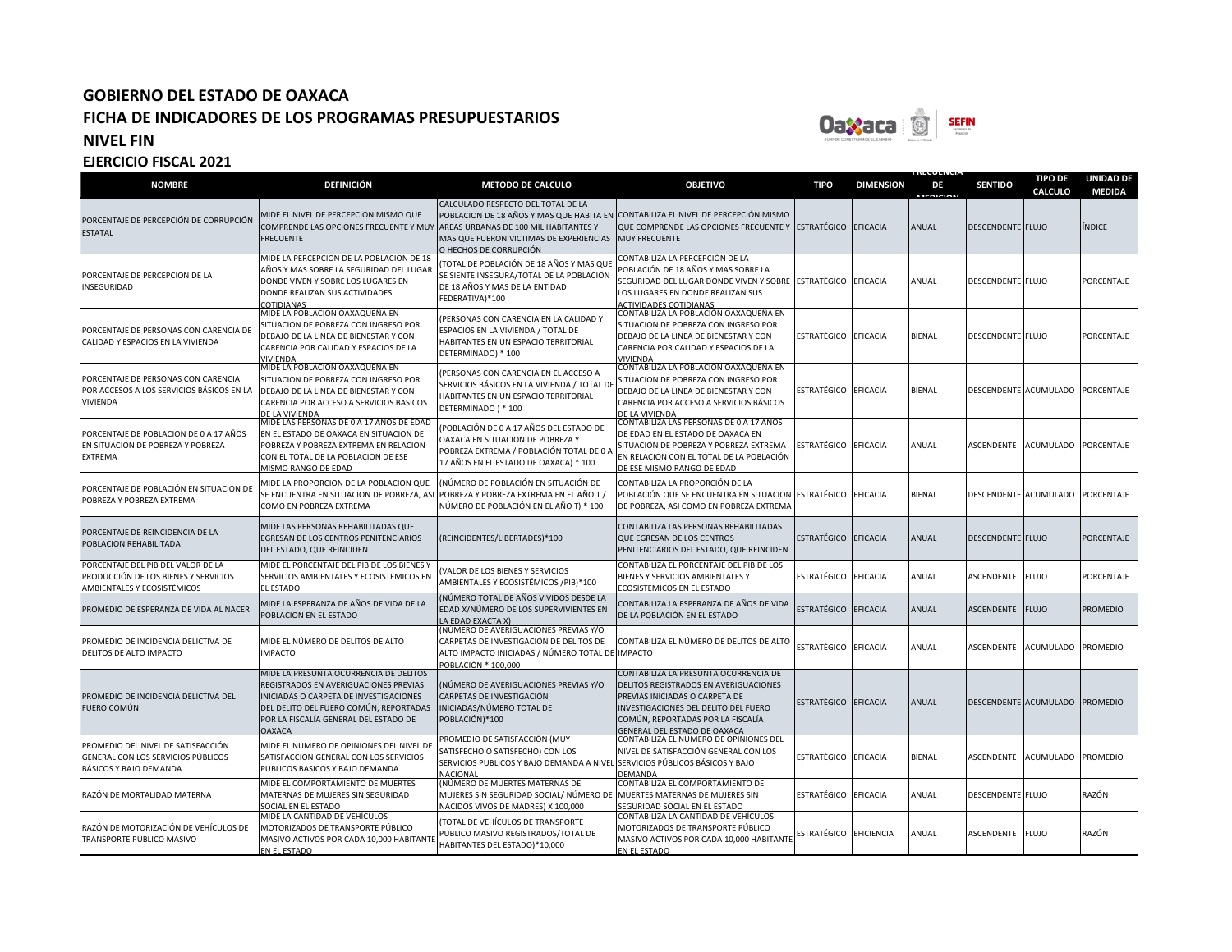MASIVO ACTIVOS POR CADA 10,000 HABITANTE

HABITANTES DEL ESTADO)\*10,000

EN EL ESTADO

**EJERCICIO FISCAL 2021**

TRANSPORTE PÚBLICO MASIVO



**FRECUENCIA** 

**TIPO DE** 

**UNIDAD DE** 

#### **NOMBRE DEFINICIÓN METODO DE CALCULO OBJETIVO TIPO DIMENSION DE MEDICION SENTIDO CALCULO MEDIDA** PORCENTAJE DE PERCEPCIÓN DE CORRUPCIÓN ESTATAL MIDE EL NIVEL DE PERCEPCION MISMO QUE COMPRENDE LAS OPCIONES FRECUENTE Y MUY **FRECUENTE** CALCULADO RESPECTO DEL TOTAL DE LA POBLACION DE 18 AÑOS Y MAS QUE HABITA EN CONTABILIZA EL NIVEL DE PERCEPCIÓN MISMO AREAS URBANAS DE 100 MIL HABITANTES Y MAS QUE FUERON VICTIMAS DE EXPERIENCIAS O HECHOS DE CORRUPCIÓN QUE COMPRENDE LAS OPCIONES FRECUENTE Y ESTRATÉGICO EFICACIA ANUAL DESCENDENTE FLUJO MINDICE MUY FRECUENTE PORCENTAJE DE PERCEPCION DE LA INSEGURIDAD MIDE LA PERCEPCION DE LA POBLACION DE 18 AÑOS Y MAS SOBRE LA SEGURIDAD DEL LUGAR DONDE VIVEN Y SOBRE LOS LUGARES EN DONDE REALIZAN SUS ACTIVIDADES **COTIDIANAS** (TOTAL DE POBLACIÓN DE 18 AÑOS Y MAS QUE SE SIENTE INSEGURA/TOTAL DE LA POBLACION DE 18 AÑOS Y MAS DE LA ENTIDAD FEDERATIVA)\*100 CONTABILIZA LA PERCEPCIÓN DE LA POBLACIÓN DE 18 AÑOS Y MAS SOBRE LA SEGURIDAD DEL LUGAR DONDE VIVEN Y SOBRE LOS LUGARES EN DONDE REALIZAN SUS CTIVIDADES COTIDIANAS ESTRATÉGICO EFICACIA ANUAL DESCENDENTE FLUJO PORCENTAJE PORCENTAJE DE PERSONAS CON CARENCIA DE CALIDAD Y ESPACIOS EN LA VIVIENDA MIDE LA POBLACION OAXAQUEÑA EN SITUACION DE POBREZA CON INGRESO POR DEBAJO DE LA LINEA DE BIENESTAR Y CON CARENCIA POR CALIDAD Y ESPACIOS DE LA VIVIENDA (PERSONAS CON CARENCIA EN LA CALIDAD Y ESPACIOS EN LA VIVIENDA / TOTAL DE HABITANTES EN UN ESPACIO TERRITORIAL DETERMINADO) \* 100 CONTABILIZA LA POBLACIÓN OAXAQUEÑA EN SITUACION DE POBREZA CON INGRESO POR DEBAJO DE LA LINEA DE BIENESTAR Y CON CARENCIA POR CALIDAD Y ESPACIOS DE LA VIVIENDA ESTRATÉGICO EFICACIA BIENAL DESCENDENTE FLUJO PORCENTAJE PORCENTAJE DE PERSONAS CON CARENCIA POR ACCESOS A LOS SERVICIOS BÁSICOS EN LA VIVIENDA MIDE LA POBLACION OAXAQUEÑA EN SITUACION DE POBREZA CON INGRESO POR DEBAJO DE LA LINEA DE BIENESTAR Y CON CARENCIA POR ACCESO A SERVICIOS BASICOS DE LA VIVIENDA (PERSONAS CON CARENCIA EN EL ACCESO A SERVICIOS BÁSICOS EN LA VIVIENDA / TOTAL DE HABITANTES EN UN ESPACIO TERRITORIAL DETERMINADO ) \* 100 CONTABILIZA LA POBLACIÓN OAXAQUEÑA EN SITUACION DE POBREZA CON INGRESO POR DEBAJO DE LA LINEA DE BIENESTAR Y CON CARENCIA POR ACCESO A SERVICIOS BÁSICOS DE LA VIVIENDA ESTRATÉGICO EFICACIA BIENAL DESCENDENTE ACUMULADO PORCENTAJE PORCENTAJE DE POBLACION DE 0 A 17 AÑOS EN SITUACION DE POBREZA Y POBREZA EXTREMA MIDE LAS PERSONAS DE 0 A 17 AÑOS DE EDAD EN EL ESTADO DE OAXACA EN SITUACION DE POBREZA Y POBREZA EXTREMA EN RELACION CON EL TOTAL DE LA POBLACION DE ESE MISMO RANGO DE EDAD (POBLACIÓN DE 0 A 17 AÑOS DEL ESTADO DE OAXACA EN SITUACION DE POBREZA Y POBREZA EXTREMA / POBLACIÓN TOTAL DE 0 A 17 AÑOS EN EL ESTADO DE OAXACA) \* 100 CONTABILIZA LAS PERSONAS DE 0 A 17 AÑOS DE EDAD EN EL ESTADO DE OAXACA EN SITUACIÓN DE POBREZA Y POBREZA EXTREMA EN RELACION CON EL TOTAL DE LA POBLACIÓN F FSE MISMO RANGO DE EDAD ESTRATÉGICO EFICACIA ANUAL ASCENDENTE ACUMULADO PORCENTAJE PORCENTAJE DE POBLACIÓN EN SITUACION DE POBREZA Y POBREZA EXTREMA MIDE LA PROPORCION DE LA POBLACION QUE SE ENCUENTRA EN SITUACION DE POBREZA, ASI COMO EN POBREZA EXTREMA (NÚMERO DE POBLACIÓN EN SITUACIÓN DE POBREZA Y POBREZA EXTREMA EN EL AÑO T / NÚMERO DE POBLACIÓN EN EL AÑO T) \* 100 CONTABILIZA LA PROPORCIÓN DE LA POBLACIÓN QUE SE ENCUENTRA EN SITUACION ESTRATÉGICO EFICACIA DE POBREZA, ASI COMO EN POBREZA EXTREMA BIENAL **DESCENDENTE ACUMULADO PORCENTAJE** PORCENTAJE DE REINCIDENCIA DE LA POBLACION REHABILITADA MIDE LAS PERSONAS REHABILITADAS QUE EGRESAN DE LOS CENTROS PENITENCIARIOS DEL ESTADO, QUE REINCIDEN (REINCIDENTES/LIBERTADES)\*100 CONTABILIZA LAS PERSONAS REHABILITADAS QUE EGRESAN DE LOS CENTROS PENITENCIARIOS DEL ESTADO, QUE REINCIDEN ESTRATÉGICO EFICACIA ANUAL DESCENDENTE FLUJO PORCENTAJE PORCENTAJE DEL PIB DEL VALOR DE LA PRODUCCIÓN DE LOS BIENES Y SERVICIOS AMBIENTALES Y ECOSISTÉMICOS MIDE EL PORCENTAJE DEL PIB DE LOS BIENES Y SERVICIOS AMBIENTALES Y ECOSISTEMICOS EN EL ESTADO (VALOR DE LOS BIENES Y SERVICIOS AMBIENTALES Y ECOSISTÉMICOS /PIB)\*100 CONTABILIZA EL PORCENTAJE DEL PIB DE LOS BIENES Y SERVICIOS AMBIENTALES Y ECOSISTEMICOS EN EL ESTADO ESTRATÉGICO EFICACIA ANUAL ASCENDENTE FLUJO PORCENTAJE PROMEDIO DE ESPERANZA DE VIDA AL NACER MIDE LA ESPERANZA DE AÑOS DE VIDA DE LA POBLACION EN EL ESTADO (NÚMERO TOTAL DE AÑOS VIVIDOS DESDE LA EDAD X/NÚMERO DE LOS SUPERVIVIENTES EN LA EDAD EXACTA X) CONTABILIZA LA ESPERANZA DE AÑOS DE VIDA UNTABILIZA LA ESPERANZA DE ANOS DE VIDA ESTRATÉGICO EFICACIA ANUAL ASCENDENTE FLUJO PROMEDIO PROMEDIO DE INCIDENCIA DELICTIVA DE DELITOS DE ALTO IMPACTO MIDE EL NÚMERO DE DELITOS DE ALTO IMPACTO (NÚMERO DE AVERIGUACIONES PREVIAS Y/O CARPETAS DE INVESTIGACIÓN DE DELITOS DE ALTO IMPACTO INICIADAS / NÚMERO TOTAL DE POBLACIÓN \* 100,000 CONTABILIZA EL NÚMERO DE DELITOS DE ALTO IMPACTO ESTRATÉGICO EFICACIA ANUAL ASCENDENTE ACUMULADO PROMEDIO PROMEDIO DE INCIDENCIA DELICTIVA DEL FUERO COMÚN MIDE LA PRESUNTA OCURRENCIA DE DELITOS REGISTRADOS EN AVERIGUACIONES PREVIAS INICIADAS O CARPETA DE INVESTIGACIONES DEL DELITO DEL FUERO COMÚN, REPORTADAS POR LA FISCALÍA GENERAL DEL ESTADO DE **AXACA** (NÚMERO DE AVERIGUACIONES PREVIAS Y/O CARPETAS DE INVESTIGACIÓN INICIADAS/NÚMERO TOTAL DE POBLACIÓN)\*100 CONTABILIZA LA PRESUNTA OCURRENCIA DE DELITOS REGISTRADOS EN AVERIGUACIONES PREVIAS INICIADAS O CARPETA DE INVESTIGACIONES DEL DELITO DEL FUERO COMÚN, REPORTADAS POR LA FISCALÍA GENERAL DEL ESTADO DE OAXACA ESTRATÉGICO EFICACIA ANUAL DESCENDENTE ACUMULADO PROMEDIO PROMEDIO DEL NIVEL DE SATISFACCIÓN GENERAL CON LOS SERVICIOS PÚBLICOS BÁSICOS Y BAJO DEMANDA MIDE EL NUMERO DE OPINIONES DEL NIVEL DE SATISFACCION GENERAL CON LOS SERVICIOS PUBLICOS BASICOS Y BAJO DEMANDA PROMEDIO DE SATISFACCIÓN (MUY SATISFECHO O SATISFECHO) CON LOS SERVICIOS PUBLICOS Y BAJO DEMANDA A NIVEL **NACIONAL** CONTABILIZA EL NÚMERO DE OPINIONES DEL NIVEL DE SATISFACCIÓN GENERAL CON LOS SERVICIOS PÚBLICOS BÁSICOS Y BAJO **EMANDA** ESTRATÉGICO EFICACIA BIENAL ASCENDENTE ACUMULADO PROMEDIO RAZÓN DE MORTALIDAD MATERNA MIDE EL COMPORTAMIENTO DE MUERTES MATERNAS DE MUJERES SIN SEGURIDAD SOCIAL EN EL ESTADO (NÚMERO DE MUERTES MATERNAS DE MUJERES SIN SEGURIDAD SOCIAL/ NÚMERO DE NACIDOS VIVOS DE MADRES) X 100,000 CONTABILIZA EL COMPORTAMIENTO DE MUERTES MATERNAS DE MUJERES SIN SEGURIDAD SOCIAL EN EL ESTADO ESTRATÉGICO EFICACIA ANUAL DESCENDENTE FLUJO RAZÓN RAZÓN DE MOTORIZACIÓN DE VEHÍCULOS DE MIDE LA CANTIDAD DE VEHÍCULOS MOTORIZADOS DE TRANSPORTE PÚBLICO (TOTAL DE VEHÍCULOS DE TRANSPORTE PUBLICO MASIVO REGISTRADOS/TOTAL DE CONTABILIZA LA CANTIDAD DE VEHÍCULOS MOTORIZADOS DE TRANSPORTE PÚBLICO ESTRATÉGICO EFICIENCIA ANUAL ASCENDENTE FLUJO RAZÓN

**MASIVO ACTIVOS POR CADA 10,000 HABITANT** 

EN EL ESTADO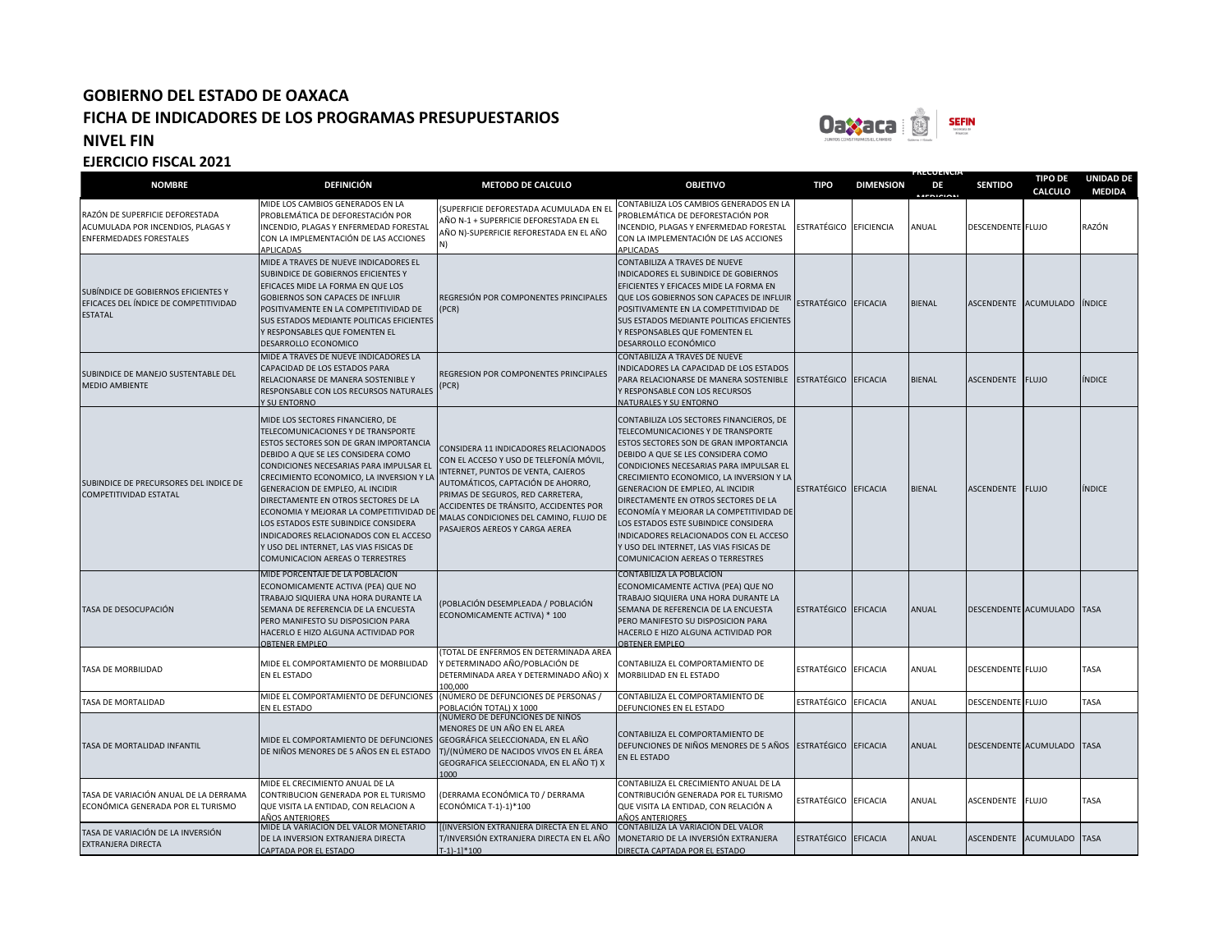

**FRECUENCIA** 

| <b>NOMBRE</b>                                                                                          | <b>DEFINICIÓN</b>                                                                                                                                                                                                                                                                                                                                                                                                                                                                                                                            | <b>METODO DE CALCULO</b>                                                                                                                                                                                                                                                                                               | <b>OBJETIVO</b>                                                                                                                                                                                                                                                                                                                                                                                                                                                                                                                               | <b>TIPO</b>            | <b>DIMENSION</b> | DE<br><b>MEDICION</b> | <b>SENTIDO</b>    | <b>TIPO DE</b><br>CALCULO   | <b>UNIDAD DE</b><br><b>MEDIDA</b> |
|--------------------------------------------------------------------------------------------------------|----------------------------------------------------------------------------------------------------------------------------------------------------------------------------------------------------------------------------------------------------------------------------------------------------------------------------------------------------------------------------------------------------------------------------------------------------------------------------------------------------------------------------------------------|------------------------------------------------------------------------------------------------------------------------------------------------------------------------------------------------------------------------------------------------------------------------------------------------------------------------|-----------------------------------------------------------------------------------------------------------------------------------------------------------------------------------------------------------------------------------------------------------------------------------------------------------------------------------------------------------------------------------------------------------------------------------------------------------------------------------------------------------------------------------------------|------------------------|------------------|-----------------------|-------------------|-----------------------------|-----------------------------------|
| RAZÓN DE SUPERFICIE DEFORESTADA<br>ACUMULADA POR INCENDIOS, PLAGAS Y<br><b>ENFERMEDADES FORESTALES</b> | MIDE LOS CAMBIOS GENERADOS EN LA<br>PROBLEMÁTICA DE DEFORESTACIÓN POR<br>INCENDIO, PLAGAS Y ENFERMEDAD FORESTAL<br>CON LA IMPLEMENTACIÓN DE LAS ACCIONES<br>APLICADAS                                                                                                                                                                                                                                                                                                                                                                        | (SUPERFICIE DEFORESTADA ACUMULADA EN EL<br>AÑO N-1 + SUPERFICIE DEFORESTADA EN EL<br>AÑO N)-SUPERFICIE REFORESTADA EN EL AÑO                                                                                                                                                                                           | CONTABILIZA LOS CAMBIOS GENERADOS EN LA<br>PROBLEMÁTICA DE DEFORESTACIÓN POR<br>INCENDIO, PLAGAS Y ENFERMEDAD FORESTAL<br>CON LA IMPLEMENTACIÓN DE LAS ACCIONES<br>APLICADAS                                                                                                                                                                                                                                                                                                                                                                  | ESTRATÉGICO EFICIENCIA |                  | ANUAL                 | DESCENDENTE FLUJO |                             | RAZÓN                             |
| SUBÍNDICE DE GOBIERNOS EFICIENTES Y<br>EFICACES DEL ÍNDICE DE COMPETITIVIDAD<br><b>ESTATAL</b>         | MIDE A TRAVES DE NUEVE INDICADORES EL<br>SUBINDICE DE GOBIERNOS EFICIENTES Y<br>EFICACES MIDE LA FORMA EN QUE LOS<br><b>GOBIERNOS SON CAPACES DE INFLUIR</b><br>POSITIVAMENTE EN LA COMPETITIVIDAD DE<br>SUS ESTADOS MEDIANTE POLITICAS EFICIENTES<br>Y RESPONSABLES QUE FOMENTEN EL<br>DESARROLLO ECONOMICO                                                                                                                                                                                                                                 | REGRESIÓN POR COMPONENTES PRINCIPALES<br>(PCR)                                                                                                                                                                                                                                                                         | CONTABILIZA A TRAVES DE NUEVE<br>INDICADORES EL SUBINDICE DE GOBIERNOS<br>EFICIENTES Y EFICACES MIDE LA FORMA EN<br>QUE LOS GOBIERNOS SON CAPACES DE INFLUIR<br>POSITIVAMENTE EN LA COMPETITIVIDAD DE<br>SUS ESTADOS MEDIANTE POLITICAS EFICIENTES<br>Y RESPONSABLES QUE FOMENTEN EL<br>DESARROLLO ECONÓMICO                                                                                                                                                                                                                                  | ESTRATÉGICO EFICACIA   |                  | <b>BIENAL</b>         |                   | ASCENDENTE ACUMULADO ÍNDICE |                                   |
| SUBINDICE DE MANEJO SUSTENTABLE DEL<br><b>MEDIO AMBIENTE</b>                                           | MIDE A TRAVES DE NUEVE INDICADORES LA<br>CAPACIDAD DE LOS ESTADOS PARA<br>RELACIONARSE DE MANERA SOSTENIBLE Y<br>RESPONSABLE CON LOS RECURSOS NATURALES<br>Y SU ENTORNO                                                                                                                                                                                                                                                                                                                                                                      | <b>REGRESION POR COMPONENTES PRINCIPALES</b><br>(PCR)                                                                                                                                                                                                                                                                  | <b>CONTABILIZA A TRAVES DE NUEVE</b><br>INDICADORES LA CAPACIDAD DE LOS ESTADOS<br>PARA RELACIONARSE DE MANERA SOSTENIBLE<br>Y RESPONSABLE CON LOS RECURSOS<br>NATURALES Y SU ENTORNO                                                                                                                                                                                                                                                                                                                                                         | ESTRATÉGICO EFICACIA   |                  | <b>BIENAL</b>         | ASCENDENTE FLUJO  |                             | ÍNDICE                            |
| SUBINDICE DE PRECURSORES DEL INDICE DE<br><b>COMPETITIVIDAD ESTATAL</b>                                | MIDE LOS SECTORES FINANCIERO, DE<br>TELECOMUNICACIONES Y DE TRANSPORTE<br>ESTOS SECTORES SON DE GRAN IMPORTANCIA<br>DEBIDO A QUE SE LES CONSIDERA COMO<br>CONDICIONES NECESARIAS PARA IMPULSAR EL<br>CRECIMIENTO ECONOMICO, LA INVERSION Y LA<br>GENERACION DE EMPLEO, AL INCIDIR<br>DIRECTAMENTE EN OTROS SECTORES DE LA<br>ECONOMIA Y MEJORAR LA COMPETITIVIDAD DE<br>LOS ESTADOS ESTE SUBINDICE CONSIDERA<br>INDICADORES RELACIONADOS CON EL ACCESO<br>Y USO DEL INTERNET, LAS VIAS FISICAS DE<br><b>COMUNICACION AEREAS O TERRESTRES</b> | CONSIDERA 11 INDICADORES RELACIONADOS<br>CON EL ACCESO Y USO DE TELEFONÍA MÓVIL,<br>INTERNET, PUNTOS DE VENTA, CAJEROS<br>AUTOMÁTICOS, CAPTACIÓN DE AHORRO,<br>PRIMAS DE SEGUROS, RED CARRETERA,<br>ACCIDENTES DE TRÁNSITO, ACCIDENTES POR<br>MALAS CONDICIONES DEL CAMINO, FLUJO DE<br>PASAJEROS AEREOS Y CARGA AEREA | CONTABILIZA LOS SECTORES FINANCIEROS, DE<br>TELECOMUNICACIONES Y DE TRANSPORTE<br>ESTOS SECTORES SON DE GRAN IMPORTANCIA<br>DEBIDO A QUE SE LES CONSIDERA COMO<br>CONDICIONES NECESARIAS PARA IMPULSAR EL<br>CRECIMIENTO ECONOMICO, LA INVERSION Y LA<br>GENERACION DE EMPLEO, AL INCIDIR<br>DIRECTAMENTE EN OTROS SECTORES DE LA<br>ECONOMÍA Y MEJORAR LA COMPETITIVIDAD DE<br>LOS ESTADOS ESTE SUBINDICE CONSIDERA<br>INDICADORES RELACIONADOS CON EL ACCESO<br>Y USO DEL INTERNET, LAS VIAS FISICAS DE<br>COMUNICACION AEREAS O TERRESTRES | ESTRATÉGICO EFICACIA   |                  | <b>BIENAL</b>         | ASCENDENTE FLUJO  |                             | ÍNDICE                            |
| TASA DE DESOCUPACIÓN                                                                                   | MIDE PORCENTAJE DE LA POBLACION<br>ECONOMICAMENTE ACTIVA (PEA) QUE NO<br>TRABAJO SIQUIERA UNA HORA DURANTE LA<br>SEMANA DE REFERENCIA DE LA ENCUESTA<br>PERO MANIFESTO SU DISPOSICION PARA<br>HACERLO E HIZO ALGUNA ACTIVIDAD POR<br><b>OBTENER EMPLEO</b>                                                                                                                                                                                                                                                                                   | (POBLACIÓN DESEMPLEADA / POBLACIÓN<br>ECONOMICAMENTE ACTIVA) * 100                                                                                                                                                                                                                                                     | <b>CONTABILIZA LA POBLACION</b><br>ECONOMICAMENTE ACTIVA (PEA) QUE NO<br>TRABAJO SIQUIERA UNA HORA DURANTE LA<br>SEMANA DE REFERENCIA DE LA ENCUESTA<br>PERO MANIFESTO SU DISPOSICION PARA<br>HACERLO E HIZO ALGUNA ACTIVIDAD POR<br><b>OBTENER EMPLEO</b>                                                                                                                                                                                                                                                                                    | ESTRATÉGICO EFICACIA   |                  | <b>ANUAL</b>          |                   | DESCENDENTE ACUMULADO TASA  |                                   |
| <b>TASA DE MORBILIDAD</b>                                                                              | MIDE EL COMPORTAMIENTO DE MORBILIDAD<br>EN EL ESTADO                                                                                                                                                                                                                                                                                                                                                                                                                                                                                         | TOTAL DE ENFERMOS EN DETERMINADA AREA<br>Y DETERMINADO AÑO/POBLACIÓN DE<br>DETERMINADA AREA Y DETERMINADO AÑO) X<br>100.000                                                                                                                                                                                            | CONTABILIZA EL COMPORTAMIENTO DE<br>MORBILIDAD EN EL ESTADO                                                                                                                                                                                                                                                                                                                                                                                                                                                                                   | ESTRATÉGICO EFICACIA   |                  | ANUAL                 | DESCENDENTE FLUJO |                             | TASA                              |
| TASA DE MORTALIDAD                                                                                     | MIDE EL COMPORTAMIENTO DE DEFUNCIONES (NÚMERO DE DEFUNCIONES DE PERSONAS /<br>EN EL ESTADO                                                                                                                                                                                                                                                                                                                                                                                                                                                   | POBLACIÓN TOTAL) X 1000                                                                                                                                                                                                                                                                                                | CONTABILIZA EL COMPORTAMIENTO DE<br>DEFUNCIONES EN EL ESTADO                                                                                                                                                                                                                                                                                                                                                                                                                                                                                  | ESTRATÉGICO            | <b>EFICACIA</b>  | ANUAL                 | DESCENDENTE FLUJO |                             | TASA                              |
| TASA DE MORTALIDAD INFANTIL                                                                            | MIDE EL COMPORTAMIENTO DE DEFUNCIONES<br>DE NIÑOS MENORES DE 5 AÑOS EN EL ESTADO                                                                                                                                                                                                                                                                                                                                                                                                                                                             | (NÚMERO DE DEFUNCIONES DE NIÑOS<br>MENORES DE UN AÑO EN EL AREA<br>GEOGRÁFICA SELECCIONADA, EN EL AÑO<br>T)/(NÚMERO DE NACIDOS VIVOS EN EL ÁREA<br>GEOGRAFICA SELECCIONADA, EN EL AÑO T) X<br>1000                                                                                                                     | CONTABILIZA EL COMPORTAMIENTO DE<br>DEFUNCIONES DE NIÑOS MENORES DE 5 AÑOS ESTRATÉGICO EFICACIA<br>EN EL ESTADO                                                                                                                                                                                                                                                                                                                                                                                                                               |                        |                  | <b>ANUAL</b>          |                   | DESCENDENTE ACUMULADO TASA  |                                   |
| TASA DE VARIACIÓN ANUAL DE LA DERRAMA<br>ECONÓMICA GENERADA POR EL TURISMO                             | MIDE EL CRECIMIENTO ANUAL DE LA<br>CONTRIBUCION GENERADA POR EL TURISMO<br>QUE VISITA LA ENTIDAD, CON RELACION A<br>AÑOS ANTERIORES                                                                                                                                                                                                                                                                                                                                                                                                          | (DERRAMA ECONÓMICA TO / DERRAMA<br>ECONÓMICA T-1)-1)*100                                                                                                                                                                                                                                                               | CONTABILIZA EL CRECIMIENTO ANUAL DE LA<br>CONTRIBUCIÓN GENERADA POR EL TURISMO<br>QUE VISITA LA ENTIDAD, CON RELACIÓN A<br>AÑOS ANTERIORES                                                                                                                                                                                                                                                                                                                                                                                                    | ESTRATÉGICO EFICACIA   |                  | ANUAL                 | ASCENDENTE        | <b>FLUJO</b>                | <b>TASA</b>                       |
| TASA DE VARIACIÓN DE LA INVERSIÓN<br><b>EXTRANJERA DIRECTA</b>                                         | MIDE LA VARIACION DEL VALOR MONETARIO<br>DE LA INVERSION EXTRANJERA DIRECTA<br>CAPTADA POR EL ESTADO                                                                                                                                                                                                                                                                                                                                                                                                                                         | [(INVERSIÓN EXTRANJERA DIRECTA EN EL AÑO<br>T/INVERSIÓN EXTRANJERA DIRECTA EN EL AÑO<br>$T-1$ -1]*100                                                                                                                                                                                                                  | CONTABILIZA LA VARIACIÓN DEL VALOR<br>MONETARIO DE LA INVERSIÓN EXTRANJERA<br>DIRECTA CAPTADA POR EL ESTADO                                                                                                                                                                                                                                                                                                                                                                                                                                   | ESTRATÉGICO EFICACIA   |                  | ANUAL                 |                   | ASCENDENTE ACUMULADO TASA   |                                   |